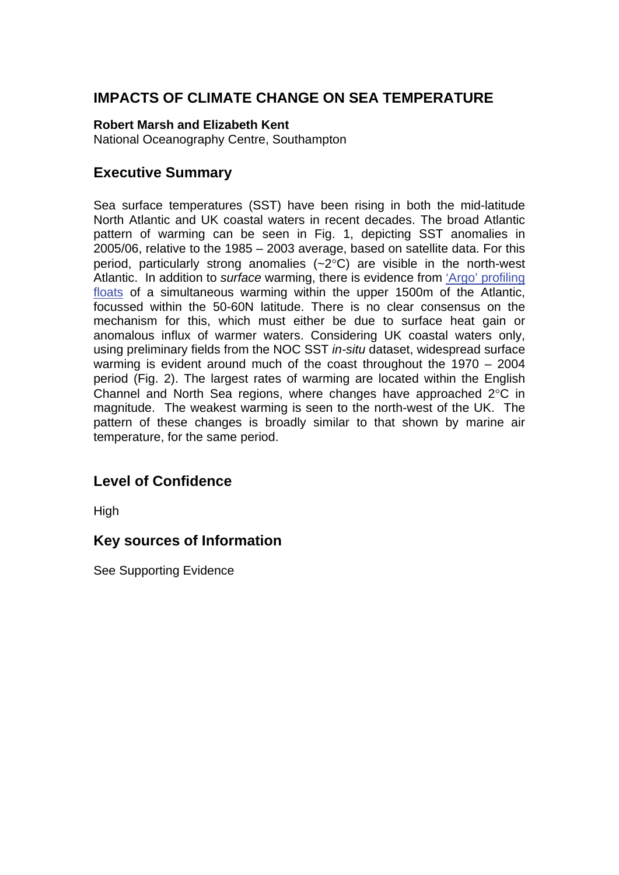# **IMPACTS OF CLIMATE CHANGE ON SEA TEMPERATURE**

#### **Robert Marsh and Elizabeth Kent**

National Oceanography Centre, Southampton

## **Executive Summary**

Sea surface temperatures (SST) have been rising in both the mid-latitude North Atlantic and UK coastal waters in recent decades. The broad Atlantic pattern of warming can be seen in Fig. 1, depicting SST anomalies in 2005/06, relative to the 1985 – 2003 average, based on satellite data. For this period, particularly strong anomalies  $(-2^{\circ}C)$  are visible in the north-west Atlantic. In addition to *surface* warming, there is evidence from ['Argo' profiling](http://www.mccip.org.uk/arc/glossary.htm)  [floats](http://www.mccip.org.uk/arc/glossary.htm) of a simultaneous warming within the upper 1500m of the Atlantic, focussed within the 50-60N latitude. There is no clear consensus on the mechanism for this, which must either be due to surface heat gain or anomalous influx of warmer waters. Considering UK coastal waters only, using preliminary fields from the NOC SST *in-situ* dataset, widespread surface warming is evident around much of the coast throughout the 1970 – 2004 period (Fig. 2). The largest rates of warming are located within the English Channel and North Sea regions, where changes have approached 2°C in magnitude. The weakest warming is seen to the north-west of the UK. The pattern of these changes is broadly similar to that shown by marine air temperature, for the same period.

# **Level of Confidence**

High

## **Key sources of Information**

See Supporting Evidence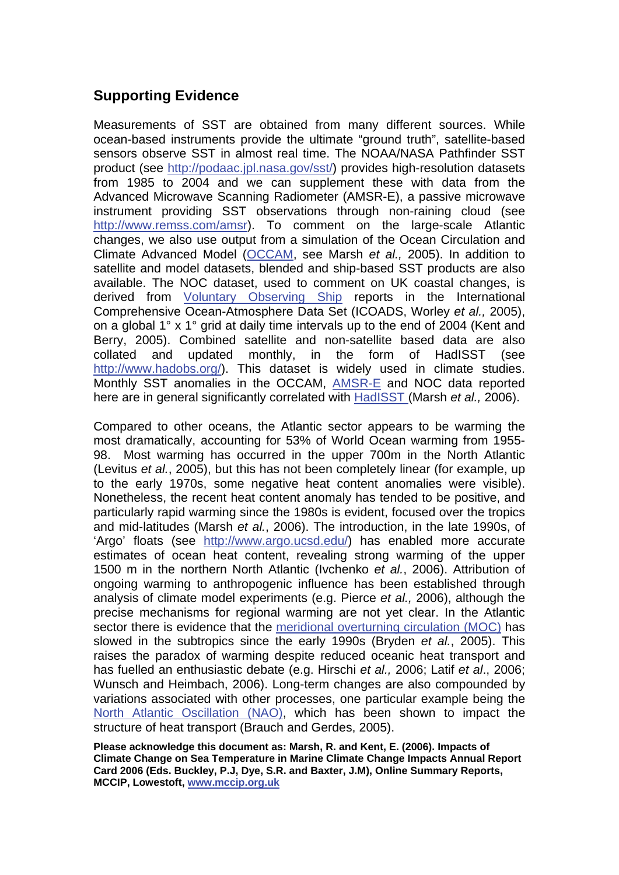# **Supporting Evidence**

Measurements of SST are obtained from many different sources. While ocean-based instruments provide the ultimate "ground truth", satellite-based sensors observe SST in almost real time. The NOAA/NASA Pathfinder SST product (see <http://podaac.jpl.nasa.gov/sst/>) provides high-resolution datasets from 1985 to 2004 and we can supplement these with data from the Advanced Microwave Scanning Radiometer (AMSR-E), a passive microwave instrument providing SST observations through non-raining cloud (see <http://www.remss.com/amsr>). To comment on the large-scale Atlantic changes, we also use output from a simulation of the Ocean Circulation and Climate Advanced Model [\(OCCAM,](http://www.mccip.org.uk/arc/glossary.htm) see Marsh *et al.,* 2005). In addition to satellite and model datasets, blended and ship-based SST products are also available. The NOC dataset, used to comment on UK coastal changes, is derived from [Voluntary Observing Ship](http://www.mccip.org.uk/arc/glossary.htm) reports in the International Comprehensive Ocean-Atmosphere Data Set (ICOADS, Worley *et al.,* 2005), on a global 1° x 1° grid at daily time intervals up to the end of 2004 (Kent and Berry, 2005). Combined satellite and non-satellite based data are also collated and updated monthly, in the form of HadISST (see [http://www.hadobs.org/\)](http://www.hadobs.org/). This dataset is widely used in climate studies. Monthly SST anomalies in the OCCAM, [AMSR-E](http://www.mccip.org.uk/arc/glossary.htm) and NOC data reported here are in general significantly correlated with [HadISST \(](http://www.mccip.org.uk/arc/glossary.htm)Marsh *et al.,* 2006).

Compared to other oceans, the Atlantic sector appears to be warming the most dramatically, accounting for 53% of World Ocean warming from 1955- 98. Most warming has occurred in the upper 700m in the North Atlantic (Levitus *et al.*, 2005), but this has not been completely linear (for example, up to the early 1970s, some negative heat content anomalies were visible). Nonetheless, the recent heat content anomaly has tended to be positive, and particularly rapid warming since the 1980s is evident, focused over the tropics and mid-latitudes (Marsh *et al.*, 2006). The introduction, in the late 1990s, of 'Argo' floats (see [http://www.argo.ucsd.edu/\)](http://www.argo.ucsd.edu/) has enabled more accurate estimates of ocean heat content, revealing strong warming of the upper 1500 m in the northern North Atlantic (Ivchenko *et al.*, 2006). Attribution of ongoing warming to anthropogenic influence has been established through analysis of climate model experiments (e.g. Pierce *et al.,* 2006), although the precise mechanisms for regional warming are not yet clear. In the Atlantic sector there is evidence that the [meridional overturning circulation \(MOC\)](http://www.mccip.org.uk/arc/glossary.htm) has slowed in the subtropics since the early 1990s (Bryden *et al.*, 2005). This raises the paradox of warming despite reduced oceanic heat transport and has fuelled an enthusiastic debate (e.g. Hirschi *et al.,* 2006; Latif *et al*., 2006; Wunsch and Heimbach, 2006). Long-term changes are also compounded by variations associated with other processes, one particular example being the [North Atlantic Oscillation \(NAO\),](http://www.mccip.org.uk/arc/glossary.htm) which has been shown to impact the structure of heat transport (Brauch and Gerdes, 2005).

**Please acknowledge this document as: Marsh, R. and Kent, E. (2006). Impacts of Climate Change on Sea Temperature in Marine Climate Change Impacts Annual Report Card 2006 (Eds. Buckley, P.J, Dye, S.R. and Baxter, J.M), Online Summary Reports, MCCIP, Lowestoft, [www.mccip.org.uk](http://www.mccip.org.uk/)**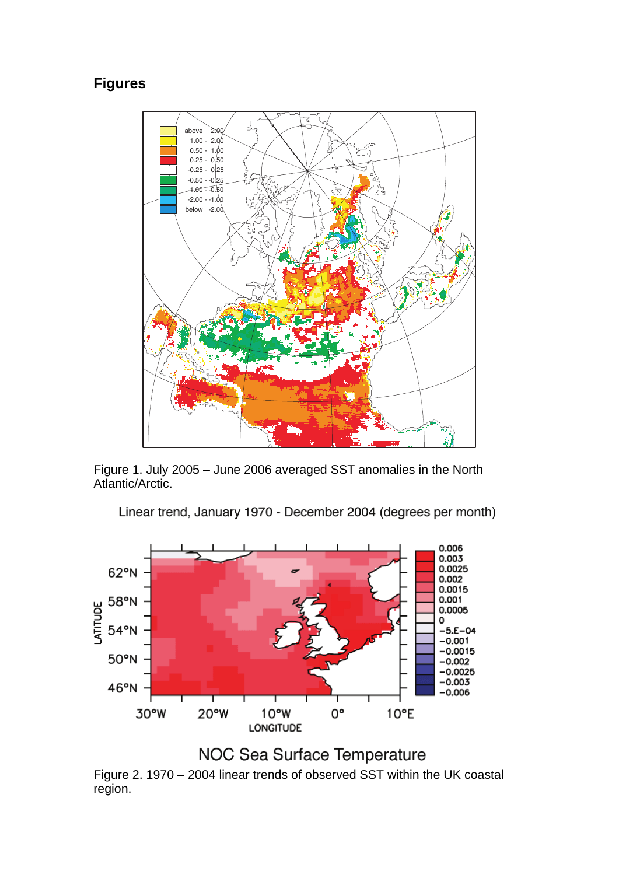# **Figures**



Figure 1. July 2005 – June 2006 averaged SST anomalies in the North Atlantic/Arctic.

Linear trend, January 1970 - December 2004 (degrees per month)



NOC Sea Surface Temperature

Figure 2. 1970 – 2004 linear trends of observed SST within the UK coastal region.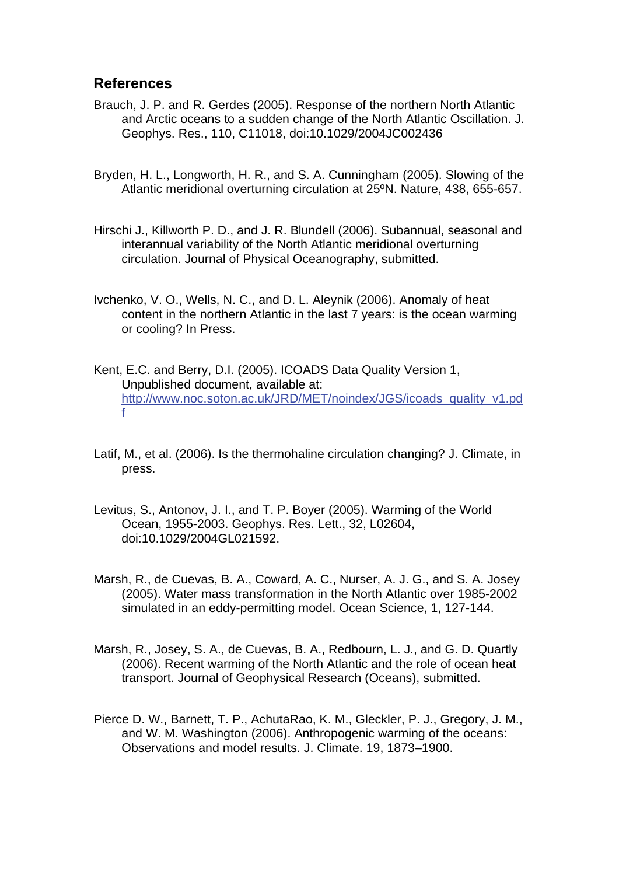### **References**

- Brauch, J. P. and R. Gerdes (2005). Response of the northern North Atlantic and Arctic oceans to a sudden change of the North Atlantic Oscillation. J. Geophys. Res., 110, C11018, doi:10.1029/2004JC002436
- Bryden, H. L., Longworth, H. R., and S. A. Cunningham (2005). Slowing of the Atlantic meridional overturning circulation at 25ºN. Nature, 438, 655-657.
- Hirschi J., Killworth P. D., and J. R. Blundell (2006). Subannual, seasonal and interannual variability of the North Atlantic meridional overturning circulation. Journal of Physical Oceanography, submitted.
- Ivchenko, V. O., Wells, N. C., and D. L. Aleynik (2006). Anomaly of heat content in the northern Atlantic in the last 7 years: is the ocean warming or cooling? In Press.
- Kent, E.C. and Berry, D.I. (2005). ICOADS Data Quality Version 1, Unpublished document, available at: [http://www.noc.soton.ac.uk/JRD/MET/noindex/JGS/icoads\\_quality\\_v1.pd](http://www.noc.soton.ac.uk/JRD/MET/noindex/JGS/icoads_quality_v1.pdf) [f](http://www.noc.soton.ac.uk/JRD/MET/noindex/JGS/icoads_quality_v1.pdf)
- Latif, M., et al. (2006). Is the thermohaline circulation changing? J. Climate, in press.
- Levitus, S., Antonov, J. I., and T. P. Boyer (2005). Warming of the World Ocean, 1955-2003. Geophys. Res. Lett., 32, L02604, doi:10.1029/2004GL021592.
- Marsh, R., de Cuevas, B. A., Coward, A. C., Nurser, A. J. G., and S. A. Josey (2005). Water mass transformation in the North Atlantic over 1985-2002 simulated in an eddy-permitting model. Ocean Science, 1, 127-144.
- Marsh, R., Josey, S. A., de Cuevas, B. A., Redbourn, L. J., and G. D. Quartly (2006). Recent warming of the North Atlantic and the role of ocean heat transport. Journal of Geophysical Research (Oceans), submitted.
- Pierce D. W., Barnett, T. P., AchutaRao, K. M., Gleckler, P. J., Gregory, J. M., and W. M. Washington (2006). Anthropogenic warming of the oceans: Observations and model results. J. Climate. 19, 1873–1900.